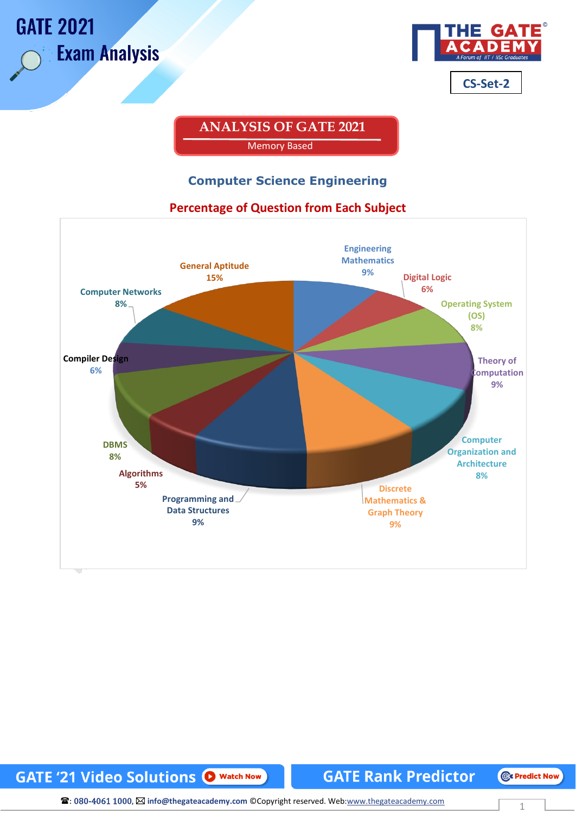

## **ANALYSIS OF GATE 2021**  Memory Based

#### **Computer Science Engineering**

#### **Percentage of Question from Each Subject**



### **GATE '21 Video Solutions O Watch Now**

#### **GATE Rank Predictor**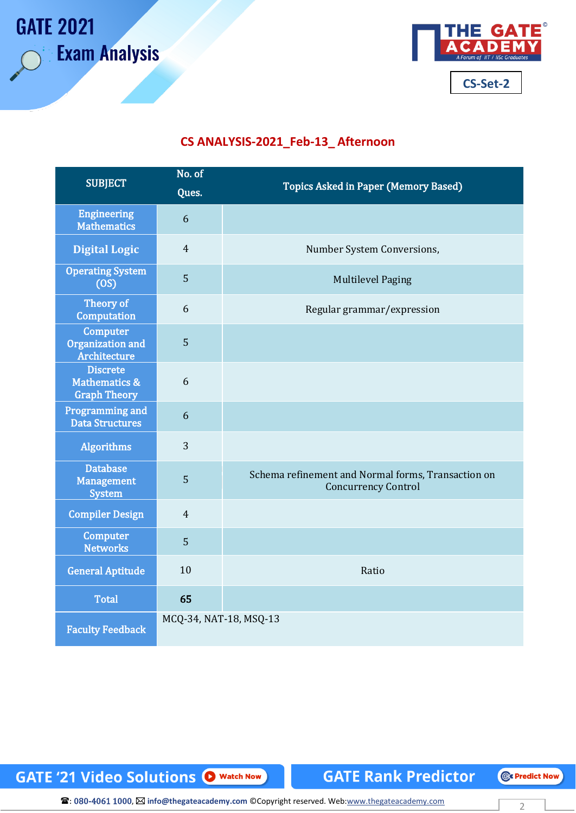**GATE 2021** 

**Exam Analysis** 



#### **CS ANALYSIS-2021\_Feb-13\_ Afternoon**

| <b>SUBJECT</b>                                                     | No. of<br>Ques.        | <b>Topics Asked in Paper (Memory Based)</b>                                      |
|--------------------------------------------------------------------|------------------------|----------------------------------------------------------------------------------|
| <b>Engineering</b><br><b>Mathematics</b>                           | 6                      |                                                                                  |
| <b>Digital Logic</b>                                               | $\overline{4}$         | Number System Conversions,                                                       |
| <b>Operating System</b><br>(OS)                                    | 5                      | <b>Multilevel Paging</b>                                                         |
| Theory of<br>Computation                                           | 6                      | Regular grammar/expression                                                       |
| <b>Computer</b><br>Organization and<br>Architecture                | 5                      |                                                                                  |
| <b>Discrete</b><br><b>Mathematics &amp;</b><br><b>Graph Theory</b> | 6                      |                                                                                  |
| <b>Programming and</b><br><b>Data Structures</b>                   | 6                      |                                                                                  |
| <b>Algorithms</b>                                                  | 3                      |                                                                                  |
| <b>Database</b><br><b>Management</b><br><b>System</b>              | 5                      | Schema refinement and Normal forms, Transaction on<br><b>Concurrency Control</b> |
| <b>Compiler Design</b>                                             | $\overline{4}$         |                                                                                  |
| <b>Computer</b><br><b>Networks</b>                                 | 5                      |                                                                                  |
| <b>General Aptitude</b>                                            | 10                     | Ratio                                                                            |
| <b>Total</b>                                                       | 65                     |                                                                                  |
| <b>Faculty Feedback</b>                                            | MCQ-34, NAT-18, MSQ-13 |                                                                                  |

**GATE '21 Video Solutions @ Watch Now** 

**GATE Rank Predictor**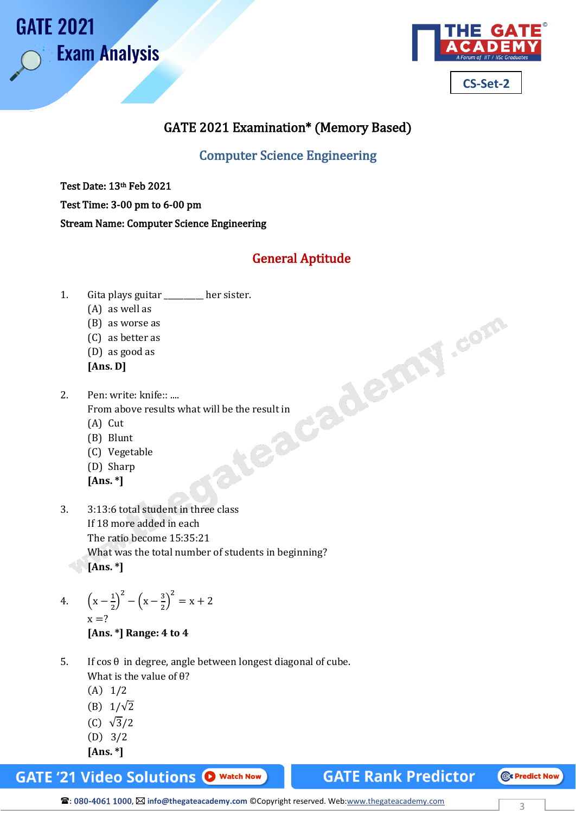



### GATE 2021 Examination\* (Memory Based)

Computer Science Engineering

Test Date: 13th Feb 2021

Test Time: 3-00 pm to 6-00 pm

Stream Name: Computer Science Engineering

## General Aptitude

- - (A) as well as
	- (B) as worse as
	- (C) as better as
	- (D) as good as
	- **[Ans. D]**
- 1. Gita plays guitar \_\_\_\_\_\_\_\_ her sister.<br>
(A) as well as<br>
(B) as worse as<br>
(C) as better as<br>
(D) as good as<br> **[Ans. D]**<br>
2. Pen: write: knife:: ....<br>
From above results what will be the result in<br>
(A) Cut<br>
(B) Blunt<br>
(C) 2. Pen: write: knife:: .... From above results what will be the result in
	- (A) Cut
	- (B) Blunt
	- (C) Vegetable
	- (D) Sharp
	- **[Ans. \*]**
- 3. 3:13:6 total student in three class If 18 more added in each The ratio become 15:35:21 What was the total number of students in beginning? **[Ans. \*]**
- 4.  $\left(x \frac{1}{2}\right)$  $\left(\frac{1}{2}\right)^2 - \left(x - \frac{3}{2}\right)$  $\left(\frac{3}{2}\right)^2 = x + 2$  $x = ?$ **[Ans. \*] Range: 4 to 4**
- 5. If cos θ in degree, angle between longest diagonal of cube. What is the value of θ?
	- (A) 1/2
	- (B)  $1/\sqrt{2}$
	- (C) √3/2
	- (D) 3/2
	- **[Ans. \*]**

**GATE'21 Video Solutions O Watch Now** 

**GATE Rank Predictor** 

**CE Predict Now**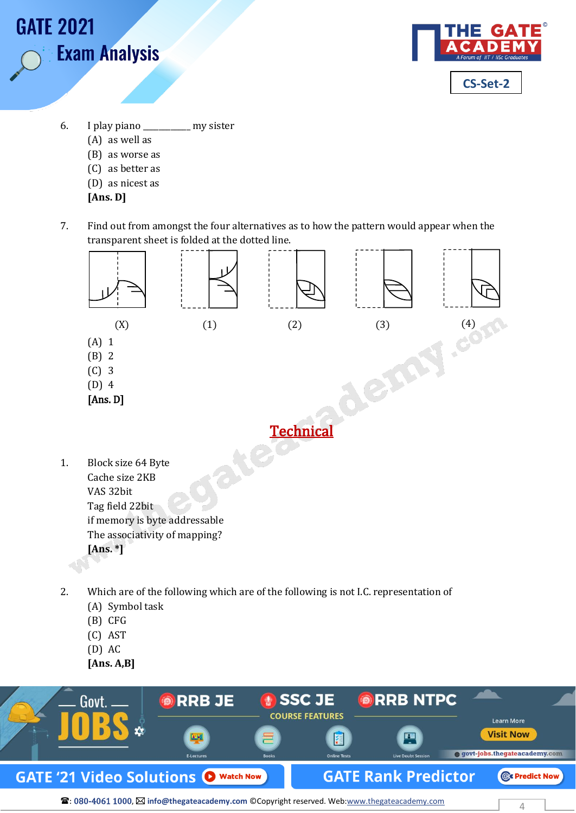



- 6. I play piano \_\_\_\_\_\_\_\_\_\_\_\_ my sister
	- (A) as well as
	- (B) as worse as
	- (C) as better as
	- (D) as nicest as
	- **[Ans. D]**
- 7. Find out from amongst the four alternatives as to how the pattern would appear when the transparent sheet is folded at the dotted line.



- 2. Which are of the following which are of the following is not I.C. representation of
	- (A) Symbol task
	- (B) CFG
	- (C) AST
	- (D) AC
	- **[Ans. A,B]**

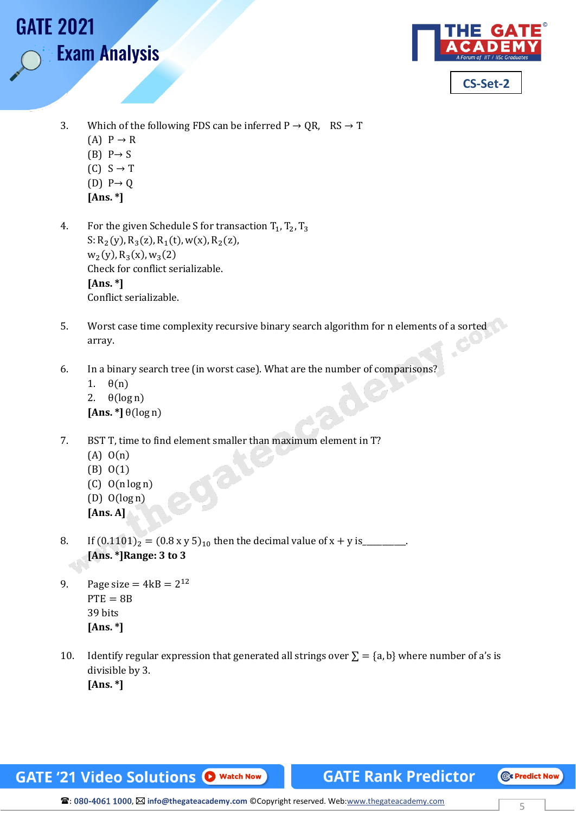

- 3. Which of the following FDS can be inferred  $P \rightarrow QR$ , RS  $\rightarrow T$ 
	- $(A)$   $P \rightarrow R$

**Exam Analysis** 

**GATE 2021** 

- $(B)$  P  $\rightarrow$  S
- $(C) S \rightarrow T$
- $(D)$  P  $\rightarrow$  Q
- **[Ans. \*]**
- 4. For the given Schedule S for transaction  $T_1$ ,  $T_2$ ,  $T_3$ S:  $R_2(y)$ ,  $R_3(z)$ ,  $R_1(t)$ ,  $w(x)$ ,  $R_2(z)$ ,  $w_2(y)$ ,  $R_3(x)$ ,  $w_3(2)$ Check for conflict serializable. **[Ans. \*]** Conflict serializable.
- 5. Worst case time complexity recursive binary search algorithm for n elements of a sorted array.
- 6. In a binary search tree (in worst case). What are the number of comparisons?
	- 1. θ(n) 2.  $\theta(\log n)$  $[Ans. *]$   $\theta(\log n)$
- 7. BST T, time to find element smaller than maximum element in T?
	- (A) O(n)
	- (B) O(1)
	- $(C)$  O(n log n)
	- $(D)$   $O(log n)$
	- **[Ans. A]**
- 8. If  $(0.1101)_2 = (0.8 \text{ x y } 5)_{10}$  then the decimal value of x + y is\_\_\_\_\_\_\_\_\_\_\_ **[Ans. \*]Range: 3 to 3**
- 9. Page size =  $4kB = 2^{12}$  $PTE = 8B$ 39 bits **[Ans. \*]**
- 10. Identify regular expression that generated all strings over  $\Sigma = \{a, b\}$  where number of a's is divisible by 3. **[Ans. \*]**

**GATE '21 Video Solutions O** Watch Now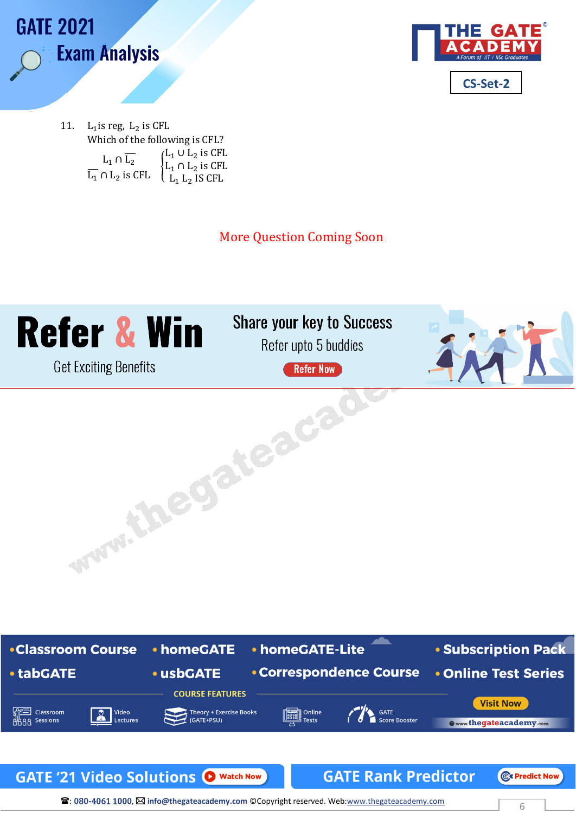



11. L<sub>1</sub> is reg, L<sub>2</sub> is CFL Which of the following is CFL?  $L_1 \cap L_2$ <br>  $\overline{L_1} \cap L_2$  is CFL L<sub>1</sub> ∪ L<sub>2</sub> is CFL L<sub>1</sub> ∩ L<sub>2</sub> is CFL  $L_1 L_2$  IS CFL

More Question Coming Soon



# **Share your key to Success**

Refer upto 5 buddies

**Refer Now** www.thegateacact





**a: 080-4061 1000,**  $\boxtimes$  **info@thegateacademy.com** © Copyright reserved. Web:www.thegateacademy.com 6